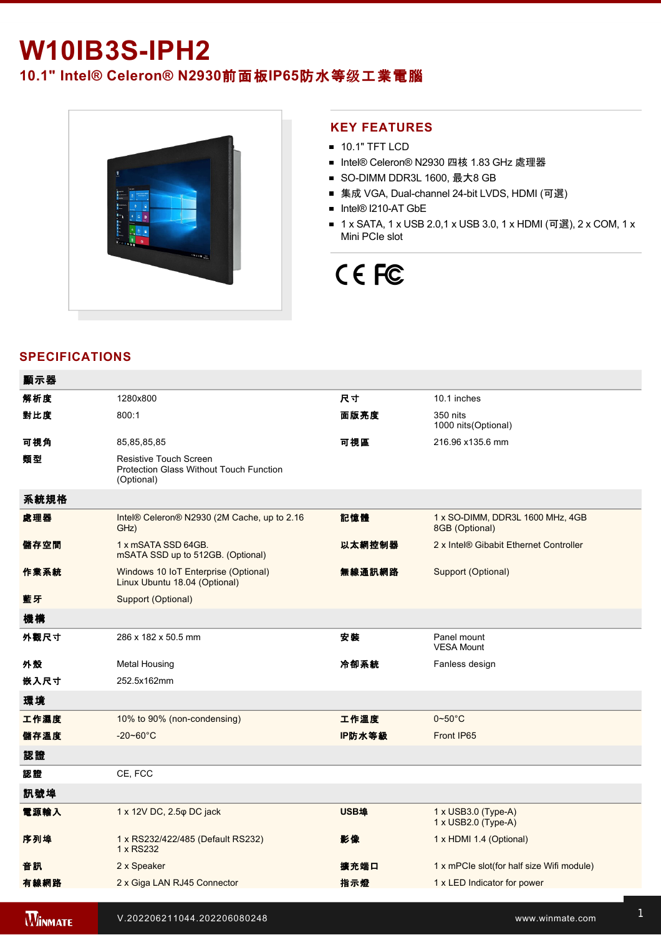## **W10IB3SIPH2**

**10.1" Intel® Celeron® N2930**前面板**IP65**防水等级工業電腦



#### **KEY FEATURES**

- **10.1" TFT LCD**
- Intel® Celeron® N2930 四核 1.83 GHz 處理器
- SO-DIMM DDR3L 1600, 最大8 GB
- 集成 VGA, Dual-channel 24-bit LVDS, HDMI (可選)
- Intel® I210-AT GbE
- 1 x SATA, 1 x USB 2.0,1 x USB 3.0, 1 x HDMI (可選), 2 x COM, 1 x Mini PCIe slot

# CE FC

## **SPECIFICATIONS**

**WINMATE** 

| 顯示器            |                                                                                               |             |                                                    |
|----------------|-----------------------------------------------------------------------------------------------|-------------|----------------------------------------------------|
| 解析度            | 1280x800                                                                                      | 尺寸          | 10.1 inches                                        |
| 對比度            | 800:1                                                                                         | 面版亮度        | 350 nits<br>1000 nits(Optional)                    |
| 可視角            | 85,85,85,85                                                                                   | 可視區         | 216.96 x135.6 mm                                   |
| 類型             | <b>Resistive Touch Screen</b><br><b>Protection Glass Without Touch Function</b><br>(Optional) |             |                                                    |
| 系統規格           |                                                                                               |             |                                                    |
| 處理器            | Intel® Celeron® N2930 (2M Cache, up to 2.16<br>GHz)                                           | 記憶體         | 1 x SO-DIMM, DDR3L 1600 MHz, 4GB<br>8GB (Optional) |
| 儲存空間           | 1 x mSATA SSD 64GB.<br>mSATA SSD up to 512GB. (Optional)                                      | 以太網控制器      | 2 x Intel® Gibabit Ethernet Controller             |
| 作業系統           | Windows 10 IoT Enterprise (Optional)<br>Linux Ubuntu 18.04 (Optional)                         | 無線通訊網路      | Support (Optional)                                 |
| 藍牙             | Support (Optional)                                                                            |             |                                                    |
| 機構             |                                                                                               |             |                                                    |
| 外觀尺寸           | 286 x 182 x 50.5 mm                                                                           | 安裝          | Panel mount<br><b>VESA Mount</b>                   |
| 外殼             | <b>Metal Housing</b>                                                                          | 冷卻系統        | Fanless design                                     |
| 嵌入尺寸           | 252.5x162mm                                                                                   |             |                                                    |
| 環境             |                                                                                               |             |                                                    |
| 工作濕度           | 10% to 90% (non-condensing)                                                                   | 工作溫度        | $0\neg 50^\circ C$                                 |
| 儲存溫度           | $-20 - 60^{\circ}C$                                                                           | IP防水等級      | Front IP65                                         |
| 認證             |                                                                                               |             |                                                    |
| 認證             | CE, FCC                                                                                       |             |                                                    |
| 訊號埠            |                                                                                               |             |                                                    |
| 電源輸入           | 1 x 12V DC, 2.5 $\phi$ DC jack                                                                | <b>USB埠</b> | $1 \times$ USB3.0 (Type-A)<br>1 x USB2.0 (Type-A)  |
| 序列埠            | 1 x RS232/422/485 (Default RS232)<br>1 x RS232                                                | 影像          | 1 x HDMI 1.4 (Optional)                            |
| 音訊             | 2 x Speaker                                                                                   | 擴充端口        | 1 x mPCle slot(for half size Wifi module)          |
| 有線網路           | 2 x Giga LAN RJ45 Connector                                                                   | 指示燈         | 1 x LED Indicator for power                        |
| <b>WINMATE</b> | V.202206211044.202206080248                                                                   |             | www.winmate.com                                    |